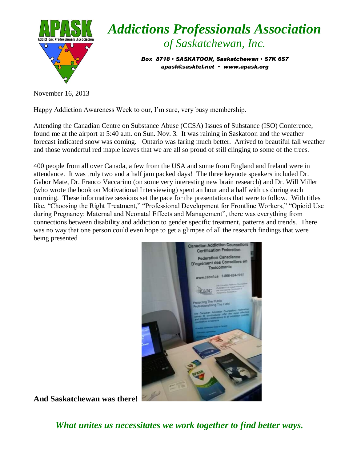

## *Addictions Professionals Association of Saskatchewan, Inc.*

*Box 8718 SASKATOON, Saskatchewan S7K 6S7 apask@sasktel.net www.apask.org*

November 16, 2013

Happy Addiction Awareness Week to our, I'm sure, very busy membership.

Attending the Canadian Centre on Substance Abuse (CCSA) Issues of Substance (ISO) Conference, found me at the airport at 5:40 a.m. on Sun. Nov. 3. It was raining in Saskatoon and the weather forecast indicated snow was coming. Ontario was faring much better. Arrived to beautiful fall weather and those wonderful red maple leaves that we are all so proud of still clinging to some of the trees.

400 people from all over Canada, a few from the USA and some from England and Ireland were in attendance. It was truly two and a half jam packed days! The three keynote speakers included Dr. Gabor Mate, Dr. Franco Vaccarino (on some very interesting new brain research) and Dr. Will Miller (who wrote the book on Motivational Interviewing) spent an hour and a half with us during each morning. These informative sessions set the pace for the presentations that were to follow. With titles like, "Choosing the Right Treatment," "Professional Development for Frontline Workers," "Opioid Use during Pregnancy: Maternal and Neonatal Effects and Management", there was everything from connections between disability and addiction to gender specific treatment, patterns and trends. There was no way that one person could even hope to get a glimpse of all the research findings that were being presented



**And Saskatchewan was there!**

*What unites us necessitates we work together to find better ways.*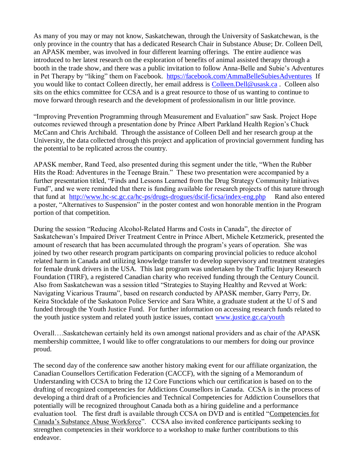As many of you may or may not know, Saskatchewan, through the University of Saskatchewan, is the only province in the country that has a dedicated Research Chair in Substance Abuse; Dr. Colleen Dell, an APASK member, was involved in four different learning offerings. The entire audience was introduced to her latest research on the exploration of benefits of animal assisted therapy through a booth in the trade show, and there was a public invitation to follow Anna-Belle and Subie's Adventures in Pet Therapy by "liking" them on Facebook. <https://facebook.com/AmmaBelleSubiesAdventures>If you would like to contact Colleen directly, her email address is [Colleen.Dell@usask.ca](mailto:Colleen.Dell@usask.ca) . Colleen also sits on the ethics committee for CCSA and is a great resource to those of us wanting to continue to move forward through research and the development of professionalism in our little province.

"Improving Prevention Programming through Measurement and Evaluation" saw Sask. Project Hope outcomes reviewed through a presentation done by Prince Albert Parkland Health Region's Chuck McCann and Chris Archibald. Through the assistance of Colleen Dell and her research group at the University, the data collected through this project and application of provincial government funding has the potential to be replicated across the country.

APASK member, Rand Teed, also presented during this segment under the title, "When the Rubber Hits the Road: Adventures in the Teenage Brain." These two presentation were accompanied by a further presentation titled, "Finds and Lessons Learned from the Drug Strategy Community Initiatives Fund", and we were reminded that there is funding available for research projects of this nature through that fund at <http://www.hc-sc.gc.ca/hc-ps/drugs-drogues/dscif-ficsa/index-eng.php>Rand also entered a poster, "Alternatives to Suspension" in the poster contest and won honorable mention in the Program portion of that competition.

During the session "Reducing Alcohol-Related Harms and Costs in Canada", the director of Saskatchewan's Impaired Driver Treatment Centre in Prince Albert, Michele Ketzmerick, presented the amount of research that has been accumulated through the program's years of operation. She was joined by two other research program participants on comparing provincial policies to reduce alcohol related harm in Canada and utilizing knowledge transfer to develop supervisory and treatment strategies for female drunk drivers in the USA. This last program was undertaken by the Traffic Injury Research Foundation (TIRF), a registered Canadian charity who received funding through the Century Council. Also from Saskatchewan was a session titled "Strategies to Staying Healthy and Revved at Work: Navigating Vicarious Trauma", based on research conducted by APASK member, Garry Perry, Dr. Keira Stockdale of the Saskatoon Police Service and Sara White, a graduate student at the U of S and funded through the Youth Justice Fund. For further information on accessing research funds related to the youth justice system and related youth justice issues, contact [www.justice.gc.ca/youth](http://www.justice.gc.ca/youth) 

Overall….Saskatchewan certainly held its own amongst national providers and as chair of the APASK membership committee, I would like to offer congratulations to our members for doing our province proud.

The second day of the conference saw another history making event for our affiliate organization, the Canadian Counsellors Certification Federation (CACCF), with the signing of a Memorandum of Understanding with CCSA to bring the 12 Core Functions which our certification is based on to the drafting of recognized competencies for Addictions Counsellors in Canada. CCSA is in the process of developing a third draft of a Proficiencies and Technical Competencies for Addiction Counsellors that potentially will be recognized throughout Canada both as a hiring guideline and a performance evaluation tool. The first draft is available through CCSA on DVD and is entitled "Competencies for Canada's Substance Abuse Workforce". CCSA also invited conference participants seeking to strengthen competencies in their workforce to a workshop to make further contributions to this endeavor.